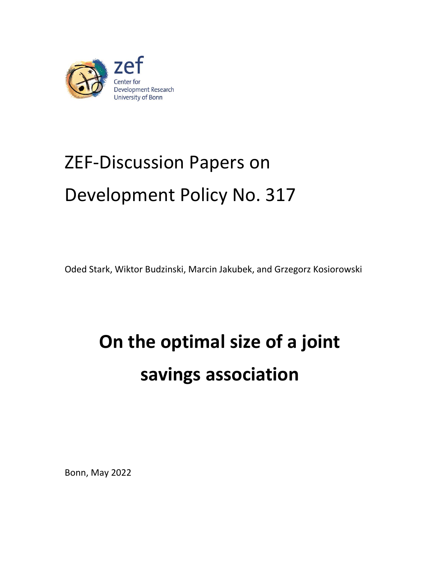

# ZEF-Discussion Papers on Development Policy No. 317

Oded Stark, Wiktor Budzinski, Marcin Jakubek, and Grzegorz Kosiorowski

# **On the optimal size of a joint savings association**

Bonn, May 2022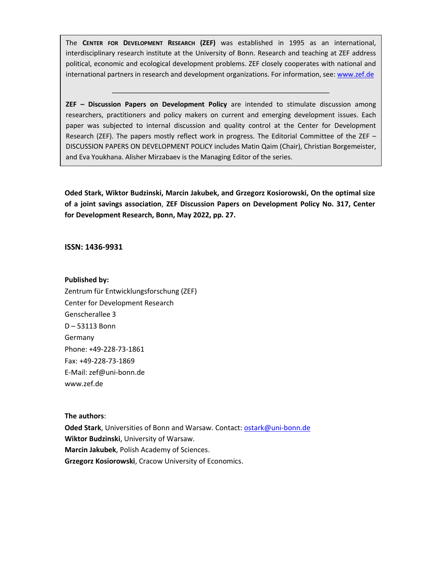The **CENTER FOR DEVELOPMENT RESEARCH (ZEF)** was established in 1995 as an international, interdisciplinary research institute at the University of Bonn. Research and teaching at ZEF address political, economic and ecological development problems. ZEF closely cooperates with national and international partners in research and development organizations. For information, see[: www.zef.de](http://www.zef.de/)

**ZEF – Discussion Papers on Development Policy** are intended to stimulate discussion among researchers, practitioners and policy makers on current and emerging development issues. Each paper was subjected to internal discussion and quality control at the Center for Development Research (ZEF). The papers mostly reflect work in progress. The Editorial Committee of the ZEF – DISCUSSION PAPERS ON DEVELOPMENT POLICY includes Matin Qaim (Chair), Christian Borgemeister, and Eva Youkhana. Alisher Mirzabaev is the Managing Editor of the series.

**Oded Stark, Wiktor Budzinski, Marcin Jakubek, and Grzegorz Kosiorowski, On the optimal size of a joint savings association**, **ZEF Discussion Papers on Development Policy No. 317, Center for Development Research, Bonn, May 2022, pp. 27.**

# **ISSN: 1436-9931**

#### **Published by:**

Zentrum für Entwicklungsforschung (ZEF) Center for Development Research Genscherallee 3 D – 53113 Bonn Germany Phone: +49-228-73-1861 Fax: +49-228-73-1869 E-Mail: zef@uni-bonn.de www.zef.de

#### **The authors**:

**Oded Stark**, Universities of Bonn and Warsaw. Contact[: ostark@uni-bonn.de](mailto:ostark@uni-bonn.de) **Wiktor Budzinski**, University of Warsaw. **Marcin Jakubek**, Polish Academy of Sciences. **Grzegorz Kosiorowski**, Cracow University of Economics.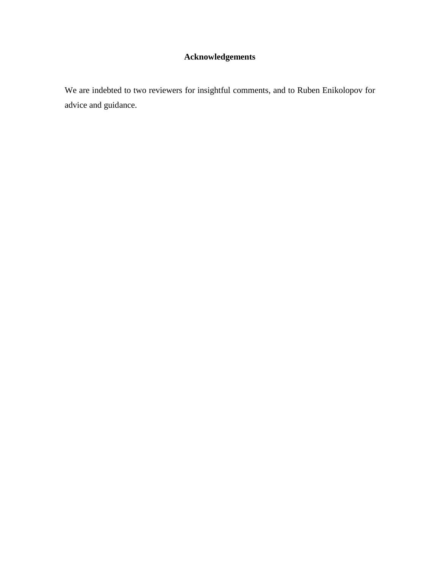# **Acknowledgements**

We are indebted to two reviewers for insightful comments, and to Ruben Enikolopov for advice and guidance.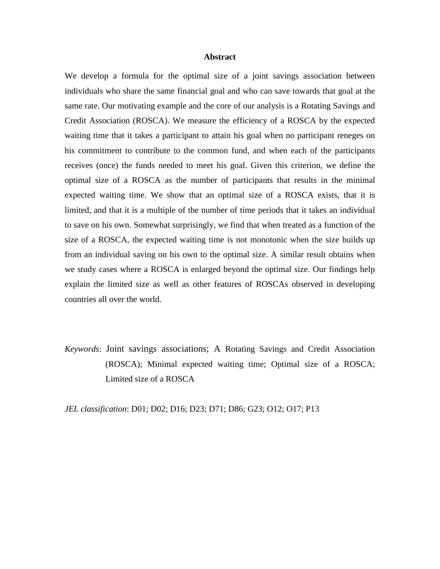# **Abstract**

We develop a formula for the optimal size of a joint savings association between individuals who share the same financial goal and who can save towards that goal at the same rate. Our motivating example and the core of our analysis is a Rotating Savings and Credit Association (ROSCA). We measure the efficiency of a ROSCA by the expected waiting time that it takes a participant to attain his goal when no participant reneges on his commitment to contribute to the common fund, and when each of the participants receives (once) the funds needed to meet his goal. Given this criterion, we define the optimal size of a ROSCA as the number of participants that results in the minimal expected waiting time. We show that an optimal size of a ROSCA exists, that it is limited, and that it is a multiple of the number of time periods that it takes an individual to save on his own. Somewhat surprisingly, we find that when treated as a function of the size of a ROSCA, the expected waiting time is not monotonic when the size builds up from an individual saving on his own to the optimal size. A similar result obtains when we study cases where a ROSCA is enlarged beyond the optimal size. Our findings help explain the limited size as well as other features of ROSCAs observed in developing countries all over the world.

*Keywords*: Joint savings associations; A Rotating Savings and Credit Association (ROSCA); Minimal expected waiting time; Optimal size of a ROSCA; Limited size of a ROSCA

*JEL classification*: D01; D02; D16; D23; D71; D86; G23; O12; O17; P13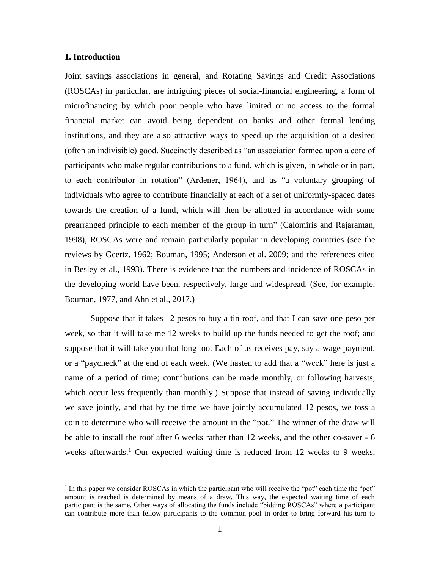# **1. Introduction**

 $\overline{a}$ 

Joint savings associations in general, and Rotating Savings and Credit Associations (ROSCAs) in particular, are intriguing pieces of social-financial engineering, a form of microfinancing by which poor people who have limited or no access to the formal financial market can avoid being dependent on banks and other formal lending institutions, and they are also attractive ways to speed up the acquisition of a desired (often an indivisible) good. Succinctly described as "an association formed upon a core of participants who make regular contributions to a fund, which is given, in whole or in part, to each contributor in rotation" (Ardener, 1964), and as "a voluntary grouping of individuals who agree to contribute financially at each of a set of uniformly-spaced dates towards the creation of a fund, which will then be allotted in accordance with some prearranged principle to each member of the group in turn" (Calomiris and Rajaraman, 1998), ROSCAs were and remain particularly popular in developing countries (see the reviews by Geertz, 1962; Bouman, 1995; Anderson et al. 2009; and the references cited in Besley et al., 1993). There is evidence that the numbers and incidence of ROSCAs in the developing world have been, respectively, large and widespread. (See, for example, Bouman, 1977, and Ahn et al., 2017.)

Suppose that it takes 12 pesos to buy a tin roof, and that I can save one peso per week, so that it will take me 12 weeks to build up the funds needed to get the roof; and suppose that it will take you that long too. Each of us receives pay, say a wage payment, or a "paycheck" at the end of each week. (We hasten to add that a "week" here is just a name of a period of time; contributions can be made monthly, or following harvests, which occur less frequently than monthly.) Suppose that instead of saving individually we save jointly, and that by the time we have jointly accumulated 12 pesos, we toss a coin to determine who will receive the amount in the "pot." The winner of the draw will be able to install the roof after 6 weeks rather than 12 weeks, and the other co-saver - 6 weeks afterwards. <sup>1</sup> Our expected waiting time is reduced from 12 weeks to 9 weeks,

<sup>&</sup>lt;sup>1</sup> In this paper we consider ROSCAs in which the participant who will receive the "pot" each time the "pot" amount is reached is determined by means of a draw. This way, the expected waiting time of each participant is the same. Other ways of allocating the funds include "bidding ROSCAs" where a participant can contribute more than fellow participants to the common pool in order to bring forward his turn to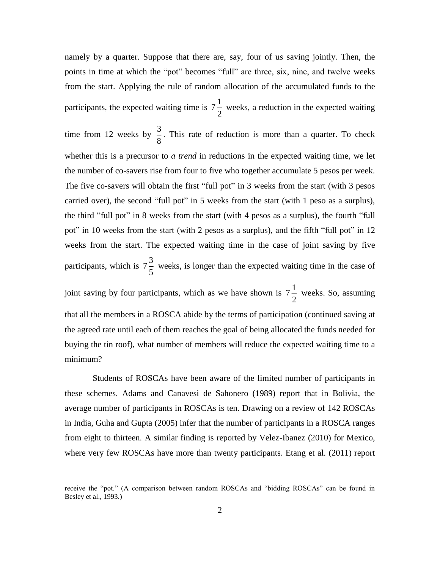namely by a quarter. Suppose that there are, say, four of us saving jointly. Then, the points in time at which the "pot" becomes "full" are three, six, nine, and twelve weeks from the start. Applying the rule of random allocation of the accumulated funds to the participants, the expected waiting time is  $7\frac{1}{3}$  $\frac{1}{2}$  weeks, a reduction in the expected waiting

time from 12 weeks by  $\frac{3}{5}$  $\frac{3}{8}$ . This rate of reduction is more than a quarter. To check whether this is a precursor to *a trend* in reductions in the expected waiting time, we let the number of co-savers rise from four to five who together accumulate 5 pesos per week. The five co-savers will obtain the first "full pot" in 3 weeks from the start (with 3 pesos carried over), the second "full pot" in 5 weeks from the start (with 1 peso as a surplus), the third "full pot" in 8 weeks from the start (with 4 pesos as a surplus), the fourth "full pot" in 10 weeks from the start (with 2 pesos as a surplus), and the fifth "full pot" in 12 weeks from the start. The expected waiting time in the case of joint saving by five participants, which is  $7\frac{3}{7}$  $\frac{5}{5}$  weeks, is longer than the expected waiting time in the case of

joint saving by four participants, which as we have shown is  $7\frac{1}{3}$  $\frac{1}{2}$  weeks. So, assuming that all the members in a ROSCA abide by the terms of participation (continued saving at the agreed rate until each of them reaches the goal of being allocated the funds needed for buying the tin roof), what number of members will reduce the expected waiting time to a minimum?

Students of ROSCAs have been aware of the limited number of participants in these schemes. Adams and Canavesi de Sahonero (1989) report that in Bolivia, the average number of participants in ROSCAs is ten. Drawing on a review of 142 ROSCAs in India, Guha and Gupta (2005) infer that the number of participants in a ROSCA ranges from eight to thirteen. A similar finding is reported by Velez-Ibanez (2010) for Mexico, where very few ROSCAs have more than twenty participants. Etang et al. (2011) report

receive the "pot." (A comparison between random ROSCAs and "bidding ROSCAs" can be found in Besley et al., 1993.)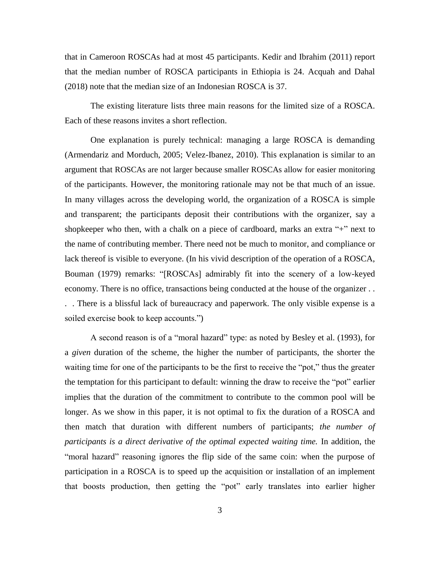that in Cameroon ROSCAs had at most 45 participants. Kedir and Ibrahim (2011) report that the median number of ROSCA participants in Ethiopia is 24. Acquah and Dahal (2018) note that the median size of an Indonesian ROSCA is 37.

The existing literature lists three main reasons for the limited size of a ROSCA. Each of these reasons invites a short reflection.

One explanation is purely technical: managing a large ROSCA is demanding (Armendariz and Morduch, 2005; Velez-Ibanez, 2010). This explanation is similar to an argument that ROSCAs are not larger because smaller ROSCAs allow for easier monitoring of the participants. However, the monitoring rationale may not be that much of an issue. In many villages across the developing world, the organization of a ROSCA is simple and transparent; the participants deposit their contributions with the organizer, say a shopkeeper who then, with a chalk on a piece of cardboard, marks an extra "+" next to the name of contributing member. There need not be much to monitor, and compliance or lack thereof is visible to everyone. (In his vivid description of the operation of a ROSCA, Bouman (1979) remarks: "[ROSCAs] admirably fit into the scenery of a low-keyed economy. There is no office, transactions being conducted at the house of the organizer . . . . There is a blissful lack of bureaucracy and paperwork. The only visible expense is a soiled exercise book to keep accounts.")

A second reason is of a "moral hazard" type: as noted by Besley et al. (1993), for a *given* duration of the scheme, the higher the number of participants, the shorter the waiting time for one of the participants to be the first to receive the "pot," thus the greater the temptation for this participant to default: winning the draw to receive the "pot" earlier implies that the duration of the commitment to contribute to the common pool will be longer. As we show in this paper, it is not optimal to fix the duration of a ROSCA and then match that duration with different numbers of participants; *the number of participants is a direct derivative of the optimal expected waiting time.* In addition, the "moral hazard" reasoning ignores the flip side of the same coin: when the purpose of participation in a ROSCA is to speed up the acquisition or installation of an implement that boosts production, then getting the "pot" early translates into earlier higher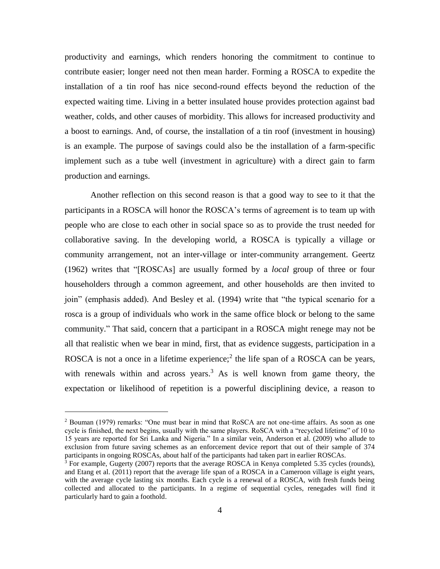productivity and earnings, which renders honoring the commitment to continue to contribute easier; longer need not then mean harder. Forming a ROSCA to expedite the installation of a tin roof has nice second-round effects beyond the reduction of the expected waiting time. Living in a better insulated house provides protection against bad weather, colds, and other causes of morbidity. This allows for increased productivity and a boost to earnings. And, of course, the installation of a tin roof (investment in housing) is an example. The purpose of savings could also be the installation of a farm-specific implement such as a tube well (investment in agriculture) with a direct gain to farm production and earnings.

Another reflection on this second reason is that a good way to see to it that the participants in a ROSCA will honor the ROSCA's terms of agreement is to team up with people who are close to each other in social space so as to provide the trust needed for collaborative saving. In the developing world, a ROSCA is typically a village or community arrangement, not an inter-village or inter-community arrangement. Geertz (1962) writes that "[ROSCAs] are usually formed by a *local* group of three or four householders through a common agreement, and other households are then invited to join" (emphasis added). And Besley et al. (1994) write that "the typical scenario for a rosca is a group of individuals who work in the same office block or belong to the same community." That said, concern that a participant in a ROSCA might renege may not be all that realistic when we bear in mind, first, that as evidence suggests, participation in a ROSCA is not a once in a lifetime experience;<sup>2</sup> the life span of a ROSCA can be years, with renewals within and across years.<sup>3</sup> As is well known from game theory, the expectation or likelihood of repetition is a powerful disciplining device, a reason to

<sup>2</sup> Bouman (1979) remarks: "One must bear in mind that RoSCA are not one-time affairs. As soon as one cycle is finished, the next begins, usually with the same players. RoSCA with a "recycled lifetime" of 10 to 15 years are reported for Sri Lanka and Nigeria." In a similar vein, Anderson et al. (2009) who allude to exclusion from future saving schemes as an enforcement device report that out of their sample of 374 participants in ongoing ROSCAs, about half of the participants had taken part in earlier ROSCAs.

 $\frac{3}{3}$  For example, Gugerty (2007) reports that the average ROSCA in Kenya completed 5.35 cycles (rounds), and Etang et al. (2011) report that the average life span of a ROSCA in a Cameroon village is eight years, with the average cycle lasting six months. Each cycle is a renewal of a ROSCA, with fresh funds being collected and allocated to the participants. In a regime of sequential cycles, renegades will find it particularly hard to gain a foothold.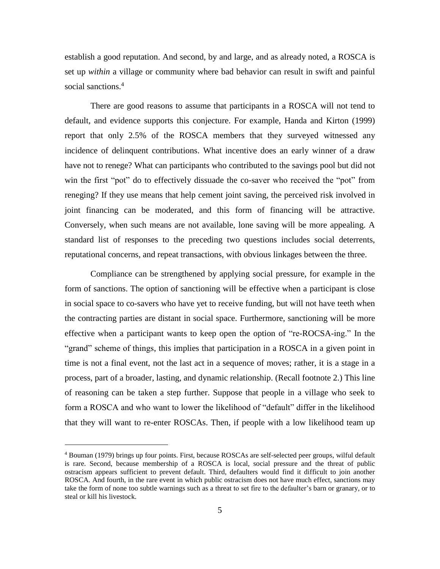establish a good reputation. And second, by and large, and as already noted, a ROSCA is set up *within* a village or community where bad behavior can result in swift and painful social sanctions.<sup>4</sup>

There are good reasons to assume that participants in a ROSCA will not tend to default, and evidence supports this conjecture. For example, Handa and Kirton (1999) report that only 2.5% of the ROSCA members that they surveyed witnessed any incidence of delinquent contributions. What incentive does an early winner of a draw have not to renege? What can participants who contributed to the savings pool but did not win the first "pot" do to effectively dissuade the co-saver who received the "pot" from reneging? If they use means that help cement joint saving, the perceived risk involved in joint financing can be moderated, and this form of financing will be attractive. Conversely, when such means are not available, lone saving will be more appealing. A standard list of responses to the preceding two questions includes social deterrents, reputational concerns, and repeat transactions, with obvious linkages between the three.

Compliance can be strengthened by applying social pressure, for example in the form of sanctions. The option of sanctioning will be effective when a participant is close in social space to co-savers who have yet to receive funding, but will not have teeth when the contracting parties are distant in social space. Furthermore, sanctioning will be more effective when a participant wants to keep open the option of "re-ROCSA-ing." In the "grand" scheme of things, this implies that participation in a ROSCA in a given point in time is not a final event, not the last act in a sequence of moves; rather, it is a stage in a process, part of a broader, lasting, and dynamic relationship. (Recall footnote 2.) This line of reasoning can be taken a step further. Suppose that people in a village who seek to form a ROSCA and who want to lower the likelihood of "default" differ in the likelihood that they will want to re-enter ROSCAs. Then, if people with a low likelihood team up

<sup>4</sup> Bouman (1979) brings up four points. First, because ROSCAs are self-selected peer groups, wilful default is rare. Second, because membership of a ROSCA is local, social pressure and the threat of public ostracism appears sufficient to prevent default. Third, defaulters would find it difficult to join another ROSCA. And fourth, in the rare event in which public ostracism does not have much effect, sanctions may take the form of none too subtle warnings such as a threat to set fire to the defaulter's barn or granary, or to steal or kill his livestock.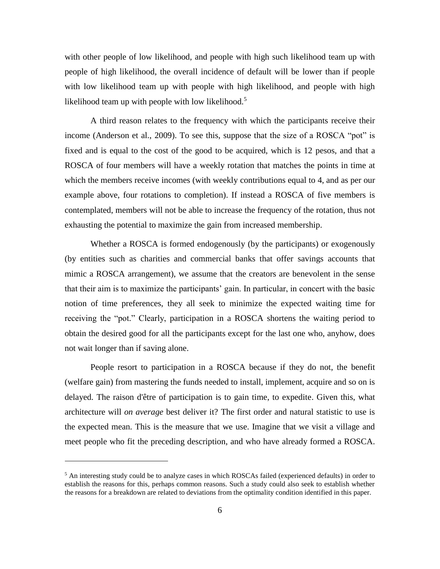with other people of low likelihood, and people with high such likelihood team up with people of high likelihood, the overall incidence of default will be lower than if people with low likelihood team up with people with high likelihood, and people with high likelihood team up with people with low likelihood.<sup>5</sup>

A third reason relates to the frequency with which the participants receive their income (Anderson et al., 2009). To see this, suppose that the size of a ROSCA "pot" is fixed and is equal to the cost of the good to be acquired, which is 12 pesos, and that a ROSCA of four members will have a weekly rotation that matches the points in time at which the members receive incomes (with weekly contributions equal to 4, and as per our example above, four rotations to completion). If instead a ROSCA of five members is contemplated, members will not be able to increase the frequency of the rotation, thus not exhausting the potential to maximize the gain from increased membership.

Whether a ROSCA is formed endogenously (by the participants) or exogenously (by entities such as charities and commercial banks that offer savings accounts that mimic a ROSCA arrangement), we assume that the creators are benevolent in the sense that their aim is to maximize the participants' gain. In particular, in concert with the basic notion of time preferences, they all seek to minimize the expected waiting time for receiving the "pot." Clearly, participation in a ROSCA shortens the waiting period to obtain the desired good for all the participants except for the last one who, anyhow, does not wait longer than if saving alone.

People resort to participation in a ROSCA because if they do not, the benefit (welfare gain) from mastering the funds needed to install, implement, acquire and so on is delayed. The raison d'être of participation is to gain time, to expedite. Given this, what architecture will *on average* best deliver it? The first order and natural statistic to use is the expected mean. This is the measure that we use. Imagine that we visit a village and meet people who fit the preceding description, and who have already formed a ROSCA.

 $<sup>5</sup>$  An interesting study could be to analyze cases in which ROSCAs failed (experienced defaults) in order to</sup> establish the reasons for this, perhaps common reasons. Such a study could also seek to establish whether the reasons for a breakdown are related to deviations from the optimality condition identified in this paper.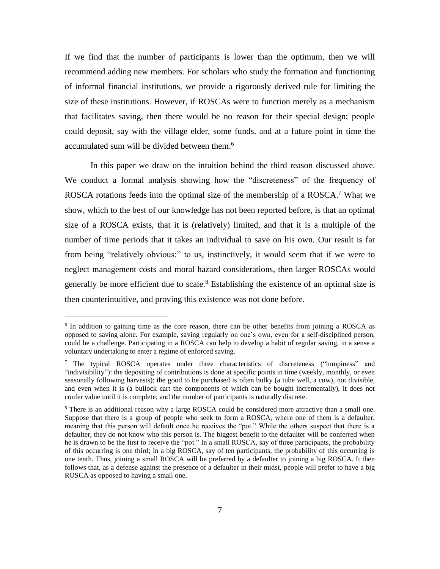If we find that the number of participants is lower than the optimum, then we will recommend adding new members. For scholars who study the formation and functioning of informal financial institutions, we provide a rigorously derived rule for limiting the size of these institutions. However, if ROSCAs were to function merely as a mechanism that facilitates saving, then there would be no reason for their special design; people could deposit, say with the village elder, some funds, and at a future point in time the accumulated sum will be divided between them. 6

In this paper we draw on the intuition behind the third reason discussed above. We conduct a formal analysis showing how the "discreteness" of the frequency of ROSCA rotations feeds into the optimal size of the membership of a ROSCA.<sup>7</sup> What we show, which to the best of our knowledge has not been reported before, is that an optimal size of a ROSCA exists, that it is (relatively) limited, and that it is a multiple of the number of time periods that it takes an individual to save on his own. Our result is far from being "relatively obvious:" to us, instinctively, it would seem that if we were to neglect management costs and moral hazard considerations, then larger ROSCAs would generally be more efficient due to scale.<sup>8</sup> Establishing the existence of an optimal size is then counterintuitive, and proving this existence was not done before.

<sup>&</sup>lt;sup>6</sup> In addition to gaining time as the core reason, there can be other benefits from joining a ROSCA as opposed to saving alone. For example, saving regularly on one's own, even for a self-disciplined person, could be a challenge. Participating in a ROSCA can help to develop a habit of regular saving, in a sense a voluntary undertaking to enter a regime of enforced saving.

 $\frac{7}{1}$  The typical ROSCA operates under three characteristics of discreteness ("lumpiness" and "indivisibility"): the depositing of contributions is done at specific points in time (weekly, monthly, or even seasonally following harvests); the good to be purchased is often bulky (a tube well, a cow), not divisible, and even when it is (a bullock cart the components of which can be bought incrementally), it does not confer value until it is complete; and the number of participants is naturally discrete.

<sup>&</sup>lt;sup>8</sup> There is an additional reason why a large ROSCA could be considered more attractive than a small one. Suppose that there is a group of people who seek to form a ROSCA, where one of them is a defaulter, meaning that this person will default once he receives the "pot." While the others suspect that there is a defaulter, they do not know who this person is. The biggest benefit to the defaulter will be conferred when he is drawn to be the first to receive the "pot." In a small ROSCA, say of three participants, the probability of this occurring is one third; in a big ROSCA, say of ten participants, the probability of this occurring is one tenth. Thus, joining a small ROSCA will be preferred by a defaulter to joining a big ROSCA. It then follows that, as a defense against the presence of a defaulter in their midst, people will prefer to have a big ROSCA as opposed to having a small one.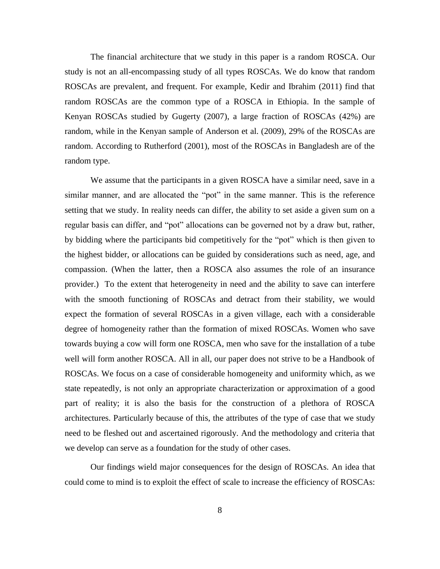The financial architecture that we study in this paper is a random ROSCA. Our study is not an all-encompassing study of all types ROSCAs. We do know that random ROSCAs are prevalent, and frequent. For example, Kedir and Ibrahim (2011) find that random ROSCAs are the common type of a ROSCA in Ethiopia. In the sample of Kenyan ROSCAs studied by Gugerty (2007), a large fraction of ROSCAs (42%) are random, while in the Kenyan sample of Anderson et al. (2009), 29% of the ROSCAs are random. According to Rutherford (2001), most of the ROSCAs in Bangladesh are of the random type.

We assume that the participants in a given ROSCA have a similar need, save in a similar manner, and are allocated the "pot" in the same manner. This is the reference setting that we study. In reality needs can differ, the ability to set aside a given sum on a regular basis can differ, and "pot" allocations can be governed not by a draw but, rather, by bidding where the participants bid competitively for the "pot" which is then given to the highest bidder, or allocations can be guided by considerations such as need, age, and compassion. (When the latter, then a ROSCA also assumes the role of an insurance provider.) To the extent that heterogeneity in need and the ability to save can interfere with the smooth functioning of ROSCAs and detract from their stability, we would expect the formation of several ROSCAs in a given village, each with a considerable degree of homogeneity rather than the formation of mixed ROSCAs. Women who save towards buying a cow will form one ROSCA, men who save for the installation of a tube well will form another ROSCA. All in all, our paper does not strive to be a Handbook of ROSCAs. We focus on a case of considerable homogeneity and uniformity which, as we state repeatedly, is not only an appropriate characterization or approximation of a good part of reality; it is also the basis for the construction of a plethora of ROSCA architectures. Particularly because of this, the attributes of the type of case that we study need to be fleshed out and ascertained rigorously. And the methodology and criteria that we develop can serve as a foundation for the study of other cases.

Our findings wield major consequences for the design of ROSCAs. An idea that could come to mind is to exploit the effect of scale to increase the efficiency of ROSCAs: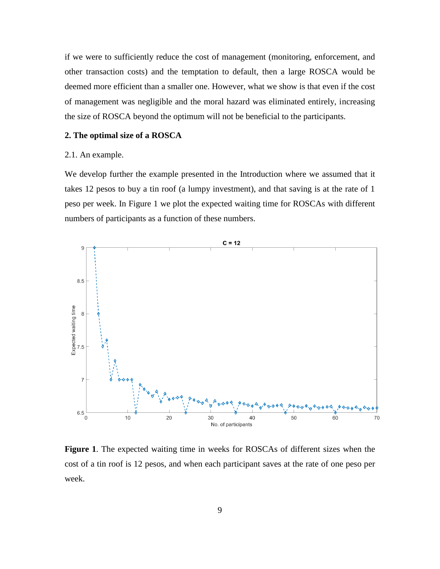if we were to sufficiently reduce the cost of management (monitoring, enforcement, and other transaction costs) and the temptation to default, then a large ROSCA would be deemed more efficient than a smaller one. However, what we show is that even if the cost of management was negligible and the moral hazard was eliminated entirely, increasing the size of ROSCA beyond the optimum will not be beneficial to the participants.

# **2. The optimal size of a ROSCA**

# 2.1. An example.

We develop further the example presented in the Introduction where we assumed that it takes 12 pesos to buy a tin roof (a lumpy investment), and that saving is at the rate of 1 peso per week. In Figure 1 we plot the expected waiting time for ROSCAs with different numbers of participants as a function of these numbers.



**Figure 1**. The expected waiting time in weeks for ROSCAs of different sizes when the cost of a tin roof is 12 pesos, and when each participant saves at the rate of one peso per week.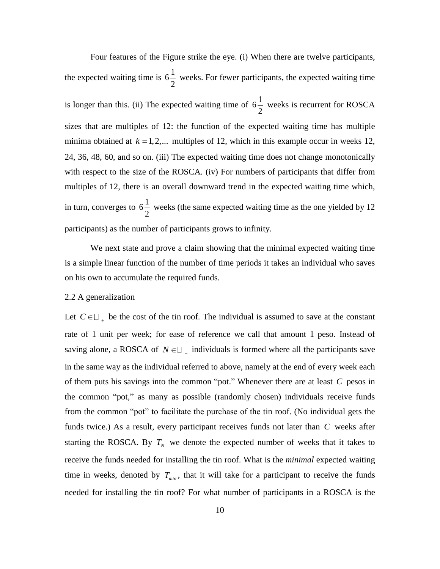Four features of the Figure strike the eye. (i) When there are twelve participants, the expected waiting time is  $6\frac{1}{2}$ 2 weeks. For fewer participants, the expected waiting time is longer than this. (ii) The expected waiting time of  $6\frac{1}{5}$  $\frac{1}{2}$  weeks is recurrent for ROSCA sizes that are multiples of 12: the function of the expected waiting time has multiple minima obtained at  $k = 1, 2, \dots$  multiples of 12, which in this example occur in weeks 12, 24, 36, 48, 60, and so on. (iii) The expected waiting time does not change monotonically with respect to the size of the ROSCA. (iv) For numbers of participants that differ from multiples of 12, there is an overall downward trend in the expected waiting time which, in turn, converges to  $6\frac{1}{2}$ 2 weeks (the same expected waiting time as the one yielded by 12 participants) as the number of participants grows to infinity.

We next state and prove a claim showing that the minimal expected waiting time is a simple linear function of the number of time periods it takes an individual who saves on his own to accumulate the required funds.

# 2.2 A generalization

Let  $C \in \square_+$  be the cost of the tin roof. The individual is assumed to save at the constant rate of 1 unit per week; for ease of reference we call that amount 1 peso. Instead of saving alone, a ROSCA of  $N \in \square_+$  individuals is formed where all the participants save in the same way as the individual referred to above, namely at the end of every week each of them puts his savings into the common "pot." Whenever there are at least *C* pesos in the common "pot," as many as possible (randomly chosen) individuals receive funds from the common "pot" to facilitate the purchase of the tin roof. (No individual gets the funds twice.) As a result, every participant receives funds not later than *C* weeks after starting the ROSCA. By  $T_N$  we denote the expected number of weeks that it takes to receive the funds needed for installing the tin roof. What is the *minimal* expected waiting time in weeks, denoted by  $T_{\text{min}}$ , that it will take for a participant to receive the funds needed for installing the tin roof? For what number of participants in a ROSCA is the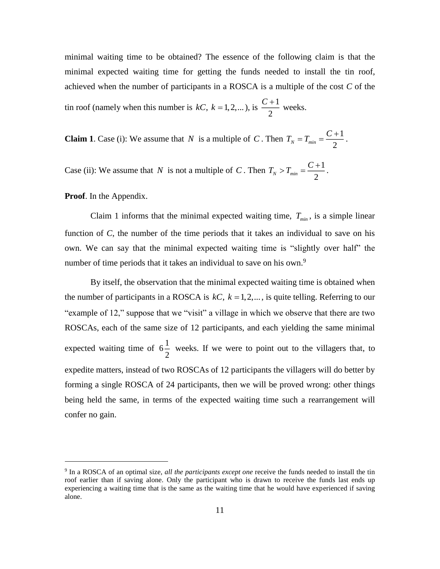minimal waiting time to be obtained? The essence of the following claim is that the minimal expected waiting time for getting the funds needed to install the tin roof, achieved when the number of participants in a ROSCA is a multiple of the cost *C* of the tin roof (namely when this number is  $kC$ ,  $k = 1, 2,...$ ), is  $\frac{C+1}{2}$  $\frac{C+1}{2}$  weeks.

2

**Claim 1**. Case (i): We assume that N is a multiple of C. Then  $T_N = T_{\min} = \frac{C+1}{2}$  $N - 4$  min  $-$  2  $T_{N} = T_{min} = \frac{C+1}{2}$ .

Case (ii): We assume that N is not a multiple of C. Then  $T_N > T_{min} = \frac{C+1}{2}$  $N$ <sup>*min*</sup> 2  $T_{N} > T_{min} = \frac{C+1}{2}$ .

**Proof**. In the Appendix.

 $\overline{a}$ 

Claim 1 informs that the minimal expected waiting time,  $T_{min}$ , is a simple linear function of *C*, the number of the time periods that it takes an individual to save on his own. We can say that the minimal expected waiting time is "slightly over half" the number of time periods that it takes an individual to save on his own.<sup>9</sup>

By itself, the observation that the minimal expected waiting time is obtained when the number of participants in a ROSCA is  $kC$ ,  $k = 1, 2, \dots$ , is quite telling. Referring to our "example of 12," suppose that we "visit" a village in which we observe that there are two ROSCAs, each of the same size of 12 participants, and each yielding the same minimal expected waiting time of  $6\frac{1}{2}$  $\frac{1}{2}$  weeks. If we were to point out to the villagers that, to expedite matters, instead of two ROSCAs of 12 participants the villagers will do better by forming a single ROSCA of 24 participants, then we will be proved wrong: other things being held the same, in terms of the expected waiting time such a rearrangement will confer no gain.

<sup>9</sup> In a ROSCA of an optimal size, *all the participants except one* receive the funds needed to install the tin roof earlier than if saving alone. Only the participant who is drawn to receive the funds last ends up experiencing a waiting time that is the same as the waiting time that he would have experienced if saving alone.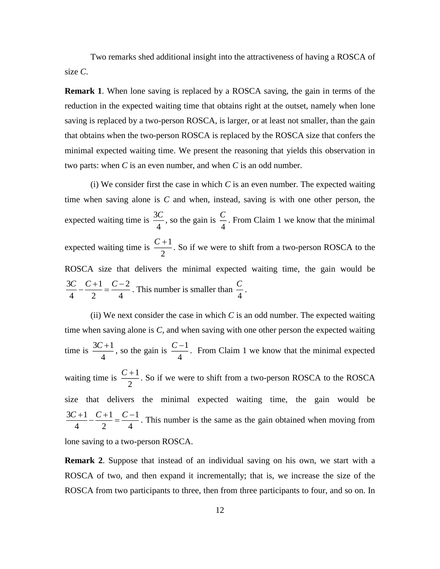Two remarks shed additional insight into the attractiveness of having a ROSCA of size *C*.

**Remark 1**. When lone saving is replaced by a ROSCA saving, the gain in terms of the reduction in the expected waiting time that obtains right at the outset, namely when lone saving is replaced by a two-person ROSCA, is larger, or at least not smaller, than the gain that obtains when the two-person ROSCA is replaced by the ROSCA size that confers the minimal expected waiting time. We present the reasoning that yields this observation in two parts: when *C* is an even number, and when *C* is an odd number.

(i) We consider first the case in which *C* is an even number. The expected waiting time when saving alone is *C* and when, instead, saving is with one other person, the expected waiting time is  $\frac{3}{5}$ 4  $\frac{C}{4}$ , so the gain is  $\frac{C}{4}$  $\frac{C}{\cdot}$ . From Claim 1 we know that the minimal expected waiting time is  $\frac{C+1}{2}$ 2  $\frac{C+1}{2}$ . So if we were to shift from a two-person ROSCA to the ROSCA size that delivers the minimal expected waiting time, the gain would be 1  $C-2$ 2 4 3 4  $C - C + 1 = C$  $\frac{1}{2} = \frac{C-2}{4}$ . This number is smaller than  $\frac{C}{4}$ *C* .

(ii) We next consider the case in which *C* is an odd number. The expected waiting time when saving alone is *C*, and when saving with one other person the expected waiting time is  $\frac{3C+1}{1}$ 4  $\frac{C+1}{C}$ , so the gain is  $\frac{C-1}{C}$ 4  $\frac{C-1}{C}$ . From Claim 1 we know that the minimal expected waiting time is  $\frac{C+1}{2}$ 2  $\frac{C+1}{2}$ . So if we were to shift from a two-person ROSCA to the ROSCA size that delivers the minimal expected waiting time, the gain would be 4  $3C + 1$   $C + 1$ 4 1 2  $\frac{C+1}{C-1} - \frac{C+1}{C-1} = \frac{C-1}{C-1}$  $\frac{+1}{-} - \frac{C+1}{2} = \frac{C-1}{\sqrt{2}}$ . This number is the same as the gain obtained when moving from lone saving to a two-person ROSCA.

**Remark 2**. Suppose that instead of an individual saving on his own, we start with a ROSCA of two, and then expand it incrementally; that is, we increase the size of the ROSCA from two participants to three, then from three participants to four, and so on. In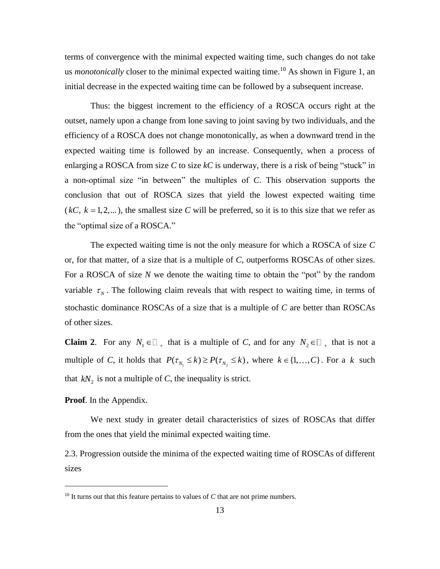terms of convergence with the minimal expected waiting time, such changes do not take us *monotonically* closer to the minimal expected waiting time. <sup>10</sup> As shown in Figure 1, an initial decrease in the expected waiting time can be followed by a subsequent increase.

Thus: the biggest increment to the efficiency of a ROSCA occurs right at the outset, namely upon a change from lone saving to joint saving by two individuals, and the efficiency of a ROSCA does not change monotonically, as when a downward trend in the expected waiting time is followed by an increase. Consequently, when a process of enlarging a ROSCA from size *C* to size *kC* is underway, there is a risk of being "stuck" in a non-optimal size "in between" the multiples of *C*. This observation supports the conclusion that out of ROSCA sizes that yield the lowest expected waiting time  $(kC, k = 1, 2, ...)$ , the smallest size *C* will be preferred, so it is to this size that we refer as the "optimal size of a ROSCA."

The expected waiting time is not the only measure for which a ROSCA of size *C* or, for that matter, of a size that is a multiple of *C*, outperforms ROSCAs of other sizes. For a ROSCA of size *N* we denote the waiting time to obtain the "pot" by the random variable  $\tau_N$ . The following claim reveals that with respect to waiting time, in terms of stochastic dominance ROSCAs of a size that is a multiple of *C* are better than ROSCAs of other sizes.

**Claim 2**. For any  $N_1 \in \mathbb{Z}_+$  that is a multiple of *C*, and for any  $N_2 \in \mathbb{Z}_+$  that is not a multiple of *C*, it holds that  $P(\tau_{N_1} \le k) \ge P(\tau_{N_2} \le k)$ , where  $k \in \{1, ..., C\}$ . For a k such that  $kN_2$  is not a multiple of *C*, the inequality is strict.

# **Proof**. In the Appendix.

 $\overline{a}$ 

We next study in greater detail characteristics of sizes of ROSCAs that differ from the ones that yield the minimal expected waiting time.

2.3. Progression outside the minima of the expected waiting time of ROSCAs of different sizes

<sup>&</sup>lt;sup>10</sup> It turns out that this feature pertains to values of *C* that are not prime numbers.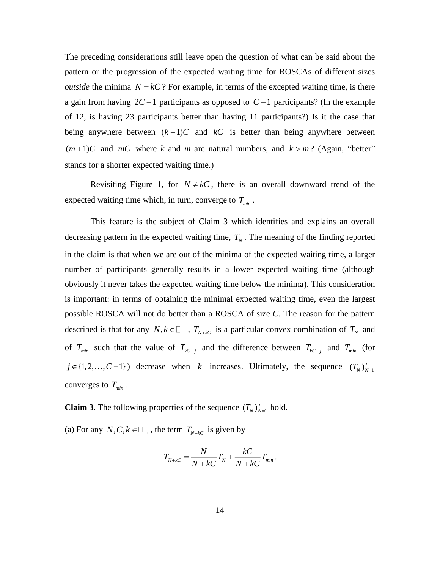The preceding considerations still leave open the question of what can be said about the pattern or the progression of the expected waiting time for ROSCAs of different sizes *outside* the minima  $N = kC$ ? For example, in terms of the excepted waiting time, is there a gain from having  $2C - 1$  participants as opposed to  $C - 1$  participants? (In the example of 12, is having 23 participants better than having 11 participants?) Is it the case that being anywhere between  $(k+1)C$  and  $kC$  is better than being anywhere between  $(m+1)C$  and  $mC$  where *k* and *m* are natural numbers, and  $k > m$ ? (Again, "better" stands for a shorter expected waiting time.)

Revisiting Figure 1, for  $N \neq kC$ , there is an overall downward trend of the expected waiting time which, in turn, converge to *Tmin* .

This feature is the subject of Claim 3 which identifies and explains an overall decreasing pattern in the expected waiting time,  $T_N$ . The meaning of the finding reported in the claim is that when we are out of the minima of the expected waiting time, a larger number of participants generally results in a lower expected waiting time (although obviously it never takes the expected waiting time below the minima). This consideration is important: in terms of obtaining the minimal expected waiting time, even the largest possible ROSCA will not do better than a ROSCA of size *C*. The reason for the pattern described is that for any  $N, k \in \mathbb{Z}_+$ ,  $T_{N+kC}$  is a particular convex combination of  $T_N$  and of  $T_{min}$  such that the value of  $T_{kC+j}$  and the difference between  $T_{kC+j}$  and  $T_{min}$  (for  $j \in \{1, 2, ..., C-1\}$ ) decrease when k increases. Ultimately, the sequence  $(T_N)_{N=1}^{\infty}$ converges to *Tmin* .

**Claim 3**. The following properties of the sequence  $(T_N)_{N=1}^{\infty}$  hold.

(a) For any  $N, C, k \in \square$ , the term  $T_{N+kC}$  is given by

$$
T_{N+kC} = \frac{N}{N+kC}T_N + \frac{kC}{N+kC}T_{min}.
$$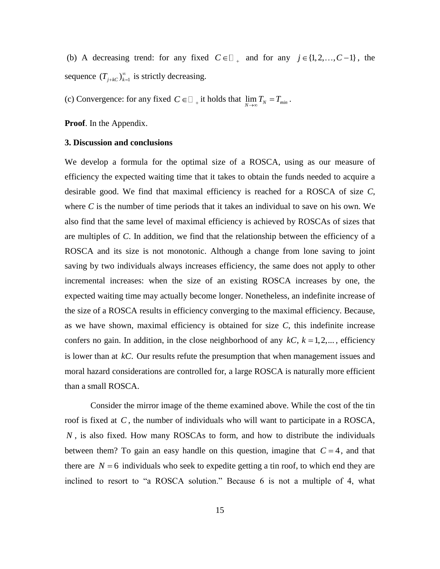(b) A decreasing trend: for any fixed  $C \in \square_+$  and for any  $j \in \{1, 2, ..., C-1\}$ , the sequence  $(T_{j+kC})_{k=1}^{\infty}$  is strictly decreasing.

(c) Convergence: for any fixed  $C \in \square_{+}$  it holds that  $\lim_{N \to \infty} T_N = T_{min}$ .

**Proof**. In the Appendix.

#### **3. Discussion and conclusions**

We develop a formula for the optimal size of a ROSCA, using as our measure of efficiency the expected waiting time that it takes to obtain the funds needed to acquire a desirable good. We find that maximal efficiency is reached for a ROSCA of size *C*, where *C* is the number of time periods that it takes an individual to save on his own. We also find that the same level of maximal efficiency is achieved by ROSCAs of sizes that are multiples of *C*. In addition, we find that the relationship between the efficiency of a ROSCA and its size is not monotonic. Although a change from lone saving to joint saving by two individuals always increases efficiency, the same does not apply to other incremental increases: when the size of an existing ROSCA increases by one, the expected waiting time may actually become longer. Nonetheless, an indefinite increase of the size of a ROSCA results in efficiency converging to the maximal efficiency. Because, as we have shown, maximal efficiency is obtained for size *C*, this indefinite increase confers no gain. In addition, in the close neighborhood of any  $kC$ ,  $k = 1, 2, ...$ , efficiency is lower than at *kC*. Our results refute the presumption that when management issues and moral hazard considerations are controlled for, a large ROSCA is naturally more efficient than a small ROSCA.

Consider the mirror image of the theme examined above. While the cost of the tin roof is fixed at *C* , the number of individuals who will want to participate in a ROSCA, *N* , is also fixed. How many ROSCAs to form, and how to distribute the individuals between them? To gain an easy handle on this question, imagine that  $C = 4$ , and that there are  $N = 6$  individuals who seek to expedite getting a tin roof, to which end they are inclined to resort to "a ROSCA solution." Because 6 is not a multiple of 4, what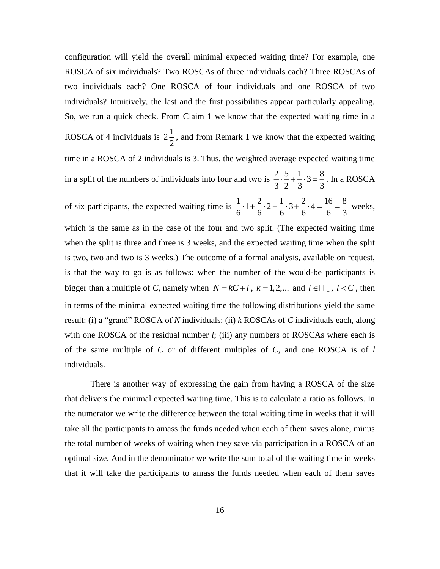configuration will yield the overall minimal expected waiting time? For example, one ROSCA of six individuals? Two ROSCAs of three individuals each? Three ROSCAs of two individuals each? One ROSCA of four individuals and one ROSCA of two individuals? Intuitively, the last and the first possibilities appear particularly appealing. So, we run a quick check. From Claim 1 we know that the expected waiting time in a ROSCA of 4 individuals is  $2\frac{1}{2}$  $\frac{1}{2}$ , and from Remark 1 we know that the expected waiting time in a ROSCA of 2 individuals is 3. Thus, the weighted average expected waiting time in a split of the numbers of individuals into four and two is  $\frac{2}{2} \cdot \frac{5}{2} + \frac{1}{2} \cdot 3 = \frac{8}{3}$  $\frac{2}{3} \cdot \frac{5}{2} + \frac{1}{3} \cdot 3 = \frac{8}{3}$ . In a ROSCA of six participants, the expected waiting time is  $\frac{1}{2} \cdot 1 + \frac{2}{3} \cdot 2 + \frac{1}{3} \cdot 3 + \frac{2}{3} \cdot 4 = \frac{16}{3} = \frac{8}{3}$  $\frac{1}{6} \cdot 1 + \frac{2}{6} \cdot 2 + \frac{1}{6} \cdot 3 + \frac{2}{6} \cdot 4 = \frac{16}{6} = \frac{8}{3}$  weeks, which is the same as in the case of the four and two split. (The expected waiting time when the split is three and three is 3 weeks, and the expected waiting time when the split is two, two and two is 3 weeks.) The outcome of a formal analysis, available on request, is that the way to go is as follows: when the number of the would-be participants is bigger than a multiple of *C*, namely when  $N = kC + l$ ,  $k = 1, 2, ...$  and  $l \in \mathbb{Z}_+$ ,  $l < C$ , then in terms of the minimal expected waiting time the following distributions yield the same result: (i) a "grand" ROSCA of *N* individuals; (ii) *k* ROSCAs of *C* individuals each, along with one ROSCA of the residual number *l*; (iii) any numbers of ROSCAs where each is of the same multiple of *C* or of different multiples of *C*, and one ROSCA is of *l* individuals.

There is another way of expressing the gain from having a ROSCA of the size that delivers the minimal expected waiting time. This is to calculate a ratio as follows. In the numerator we write the difference between the total waiting time in weeks that it will take all the participants to amass the funds needed when each of them saves alone, minus the total number of weeks of waiting when they save via participation in a ROSCA of an optimal size. And in the denominator we write the sum total of the waiting time in weeks that it will take the participants to amass the funds needed when each of them saves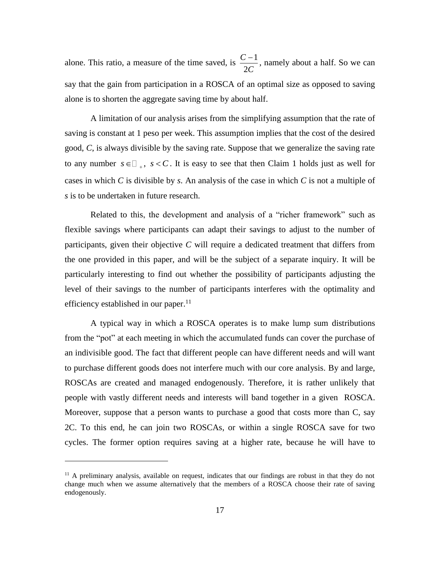alone. This ratio, a measure of the time saved, is  $\frac{C-1}{2C}$ 2 *C C*  $\frac{-1}{2}$ , namely about a half. So we can say that the gain from participation in a ROSCA of an optimal size as opposed to saving alone is to shorten the aggregate saving time by about half.

A limitation of our analysis arises from the simplifying assumption that the rate of saving is constant at 1 peso per week. This assumption implies that the cost of the desired good, *C*, is always divisible by the saving rate. Suppose that we generalize the saving rate to any number  $s \in \square_+$ ,  $s < C$ . It is easy to see that then Claim 1 holds just as well for cases in which *C* is divisible by *s*. An analysis of the case in which *C* is not a multiple of *s* is to be undertaken in future research.

Related to this, the development and analysis of a "richer framework" such as flexible savings where participants can adapt their savings to adjust to the number of participants, given their objective *C* will require a dedicated treatment that differs from the one provided in this paper, and will be the subject of a separate inquiry. It will be particularly interesting to find out whether the possibility of participants adjusting the level of their savings to the number of participants interferes with the optimality and efficiency established in our paper.<sup>11</sup>

A typical way in which a ROSCA operates is to make lump sum distributions from the "pot" at each meeting in which the accumulated funds can cover the purchase of an indivisible good. The fact that different people can have different needs and will want to purchase different goods does not interfere much with our core analysis. By and large, ROSCAs are created and managed endogenously. Therefore, it is rather unlikely that people with vastly different needs and interests will band together in a given ROSCA. Moreover, suppose that a person wants to purchase a good that costs more than C, say 2C. To this end, he can join two ROSCAs, or within a single ROSCA save for two cycles. The former option requires saving at a higher rate, because he will have to

 $11$  A preliminary analysis, available on request, indicates that our findings are robust in that they do not change much when we assume alternatively that the members of a ROSCA choose their rate of saving endogenously.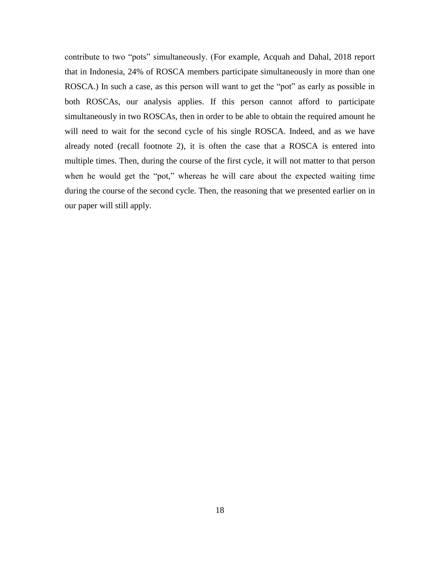contribute to two "pots" simultaneously. (For example, Acquah and Dahal, 2018 report that in Indonesia, 24% of ROSCA members participate simultaneously in more than one ROSCA.) In such a case, as this person will want to get the "pot" as early as possible in both ROSCAs, our analysis applies. If this person cannot afford to participate simultaneously in two ROSCAs, then in order to be able to obtain the required amount he will need to wait for the second cycle of his single ROSCA. Indeed, and as we have already noted (recall footnote 2), it is often the case that a ROSCA is entered into multiple times. Then, during the course of the first cycle, it will not matter to that person when he would get the "pot," whereas he will care about the expected waiting time during the course of the second cycle. Then, the reasoning that we presented earlier on in our paper will still apply.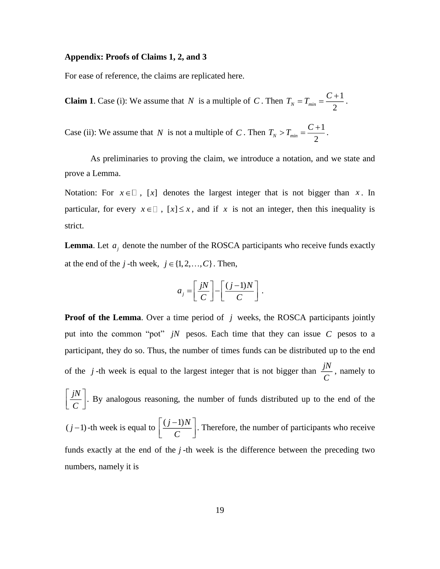#### **Appendix: Proofs of Claims 1, 2, and 3**

numbers, namely it is

For ease of reference, the claims are replicated here.

**Claim 1**. Case (i): We assume that N is a multiple of C. Then  $T_N = T_{\min} = \frac{C+1}{2}$  $\sum_{i=1}^{N}$  *M*  $\sum_{i=1}^{N}$  2  $T_{N} = T_{min} = \frac{C+1}{2}$ .

Case (ii): We assume that N is not a multiple of C. Then  $T_N > T_{min} = \frac{C+1}{2}$  $N$ <sup>*min*</sup>2  $T_{N} > T_{min} = \frac{C+1}{2}$ .

As preliminaries to proving the claim, we introduce a notation, and we state and prove a Lemma.

Notation: For  $x \in \mathbb{R}$ , [x] denotes the largest integer that is not bigger than x. In particular, for every  $x \in \mathbb{I}$ ,  $[x] \leq x$ , and if x is not an integer, then this inequality is strict.

**Lemma**. Let  $a_j$  denote the number of the ROSCA participants who receive funds exactly at the end of the *j*-th week,  $j \in \{1, 2, ..., C\}$ . Then,

$$
a_j = \left[\frac{jN}{C}\right] - \left[\frac{(j-1)N}{C}\right].
$$

**Proof of the Lemma**. Over a time period of *j* weeks, the ROSCA participants jointly put into the common "pot"  $jN$  pesos. Each time that they can issue  $C$  pesos to a participant, they do so. Thus, the number of times funds can be distributed up to the end of the *j*-th week is equal to the largest integer that is not bigger than  $\frac{jN}{6}$  $\frac{dV}{C}$ , namely to *jN C*  $\lceil jN \rceil$  $\left[\frac{f(t)}{C}\right]$ . By analogous reasoning, the number of funds distributed up to the end of the  $(j-1)$ -th week is equal to  $\left(\frac{(j-1)N}{2}\right)$ *C*  $[(j-1)N]$  $\left[\frac{(f-1) \lambda}{C}\right]$ . Therefore, the number of participants who receive funds exactly at the end of the j-th week is the difference between the preceding two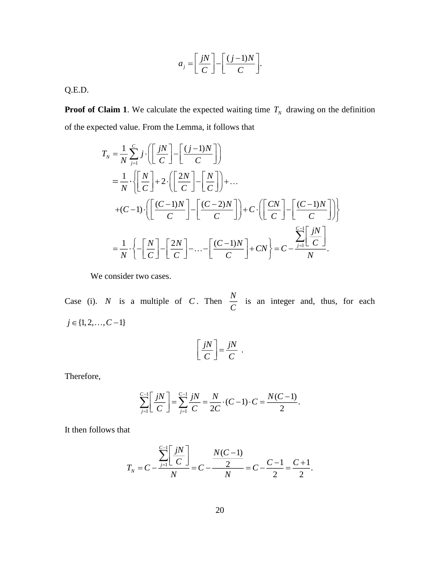$$
a_j = \left[\frac{jN}{C}\right] - \left[\frac{(j-1)N}{C}\right].
$$

Q.E.D.

**Proof of Claim 1**. We calculate the expected waiting time  $T_N$  drawing on the definition of the expected value. From the Lemma, it follows that

$$
T_N = \frac{1}{N} \sum_{j=1}^{C} j \cdot \left( \left[ \frac{jN}{C} \right] - \left[ \frac{(j-1)N}{C} \right] \right)
$$
  
\n
$$
= \frac{1}{N} \cdot \left\{ \left[ \frac{N}{C} \right] + 2 \cdot \left( \left[ \frac{2N}{C} \right] - \left[ \frac{N}{C} \right] \right) + \dots
$$
  
\n
$$
+ (C-1) \cdot \left( \left[ \frac{(C-1)N}{C} \right] - \left[ \frac{(C-2)N}{C} \right] \right) + C \cdot \left( \left[ \frac{CN}{C} \right] - \left[ \frac{(C-1)N}{C} \right] \right) \right\}
$$
  
\n
$$
= \frac{1}{N} \cdot \left\{ - \left[ \frac{N}{C} \right] - \left[ \frac{2N}{C} \right] - \dots - \left[ \frac{(C-1)N}{C} \right] + CN \right\} = C - \frac{\sum_{j=1}^{C-1} \left[ \frac{jN}{C} \right]}{N}.
$$

We consider two cases.

Case (i). *N* is a multiple of *C*. Then  $\frac{N}{a}$ *C* is an integer and, thus, for each  $j \in \{1, 2, \ldots, C-1\}$ 

$$
\left[\frac{jN}{C}\right] = \frac{jN}{C}
$$

.

Therefore,

$$
\sum_{j=1}^{C-1} \left[ \frac{jN}{C} \right] = \sum_{j=1}^{C-1} \frac{jN}{C} = \frac{N}{2C} \cdot (C-1) \cdot C = \frac{N(C-1)}{2}.
$$

It then follows that

$$
T_N = C - \frac{\sum_{j=1}^{C-1} \left[ \frac{jN}{C} \right]}{N} = C - \frac{N(C-1)}{N} = C - \frac{C-1}{2} = \frac{C+1}{2}.
$$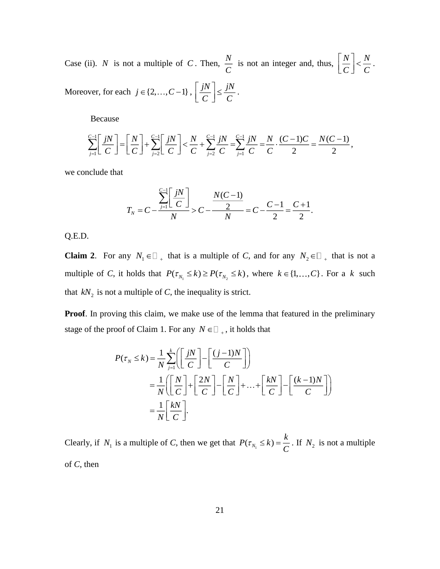Case (ii). *N* is not a multiple of *C*. Then,  $\frac{N}{a}$  $\frac{N}{C}$  is not an integer and, thus,  $\left|\frac{N}{C}\right| < \frac{N}{C}$ *C C*  $\lceil N \rceil$  $\left\lfloor \frac{R}{C} \right\rfloor < \frac{R}{C}.$ Moreover, for each  $j \in \{2, ..., C-1\}$ ,  $\left| \frac{jN}{S} \right| \leq \frac{jN}{S}$  $\left[\frac{jN}{C}\right] \leq \frac{jN}{C}$ .

Because

$$
\sum_{j=1}^{C-1} \left[ \frac{jN}{C} \right] = \left[ \frac{N}{C} \right] + \sum_{j=2}^{C-1} \left[ \frac{jN}{C} \right] < \frac{N}{C} + \sum_{j=2}^{C-1} \frac{jN}{C} = \sum_{j=1}^{C-1} \frac{jN}{C} = \frac{N}{C} \cdot \frac{(C-1)C}{2} = \frac{N(C-1)}{2},
$$

we conclude that

$$
T_N = C - \frac{\sum_{j=1}^{C-1} \left[ \frac{jN}{C} \right]}{N} > C - \frac{N(C-1)}{N} = C - \frac{C-1}{2} = \frac{C+1}{2}.
$$

Q.E.D.

**Claim 2**. For any  $N_1 \in \mathbb{Z}_+$  that is a multiple of *C*, and for any  $N_2 \in \mathbb{Z}_+$  that is not a multiple of *C*, it holds that  $P(\tau_{N_1} \le k) \ge P(\tau_{N_2} \le k)$ , where  $k \in \{1, ..., C\}$ . For a k such that  $kN_2$  is not a multiple of *C*, the inequality is strict.

**Proof**. In proving this claim, we make use of the lemma that featured in the preliminary stage of the proof of Claim 1. For any  $N \in \square_{+}$ , it holds that

$$
P(\tau_N \le k) = \frac{1}{N} \sum_{j=1}^{k} \left( \left[ \frac{jN}{C} \right] - \left[ \frac{(j-1)N}{C} \right] \right)
$$
  
= 
$$
\frac{1}{N} \left( \left[ \frac{N}{C} \right] + \left[ \frac{2N}{C} \right] - \left[ \frac{N}{C} \right] + ... + \left[ \frac{kN}{C} \right] - \left[ \frac{(k-1)N}{C} \right] \right)
$$
  
= 
$$
\frac{1}{N} \left[ \frac{kN}{C} \right].
$$

Clearly, if  $N_1$  is a multiple of *C*, then we get that  $P(\tau_{N_1} \le k) = \frac{k}{C}$  $P(\tau_{N_1} \leq k) = \frac{k}{\epsilon}$ . If  $N_2$  is not a multiple of *C*, then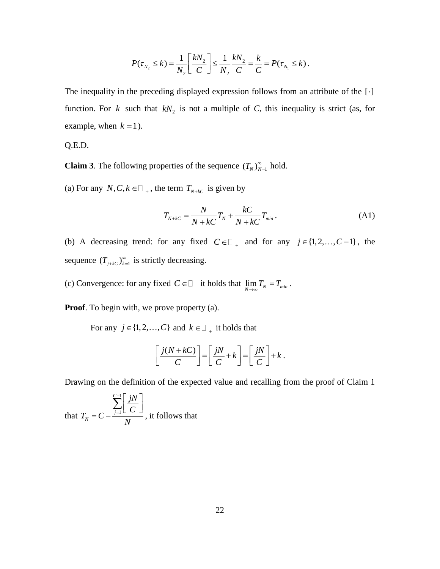$$
P(\tau_{N_2} \le k) = \frac{1}{N_2} \left[ \frac{kN_2}{C} \right] \le \frac{1}{N_2} \frac{kN_2}{C} = \frac{k}{C} = P(\tau_{N_1} \le k).
$$

The inequality in the preceding displayed expression follows from an attribute of the  $[\cdot]$ function. For k such that  $kN_2$  is not a multiple of C, this inequality is strict (as, for example, when  $k = 1$ ).

Q.E.D.

**Claim 3**. The following properties of the sequence  $(T_N)_{N=1}^{\infty}$  hold.

(a) For any  $N, C, k \in \square$ , the term  $T_{N+kC}$  is given by

$$
T_{N+kc} = \frac{N}{N+kc}T_N + \frac{kC}{N+kc}T_{min}.
$$
\n(A1)

(b) A decreasing trend: for any fixed  $C \in \square_{+}$  and for any  $j \in \{1, 2, ..., C-1\}$ , the sequence  $(T_{j+kC})_{k=1}^{\infty}$  is strictly decreasing.

(c) Convergence: for any fixed  $C \in \square_{+}$  it holds that  $\lim_{N \to \infty} T_N = T_{min}$ .

**Proof.** To begin with, we prove property (a).

For any  $j \in \{1, 2, ..., C\}$  and  $k \in \square$  it holds that

$$
\left[\frac{j(N+kC)}{C}\right] = \left[\frac{jN}{C} + k\right] = \left[\frac{jN}{C}\right] + k.
$$

Drawing on the definition of the expected value and recalling from the proof of Claim 1

that 1 1 *C*  $J_N^{\prime} = C - \frac{j=1}{N}$ *T jN C C* =  $\lceil jN \rceil$  $= C - \frac{\sum_{j=1}^{S} \left[ \frac{1}{C} \right]}{C}$  $\sum$ , it follows that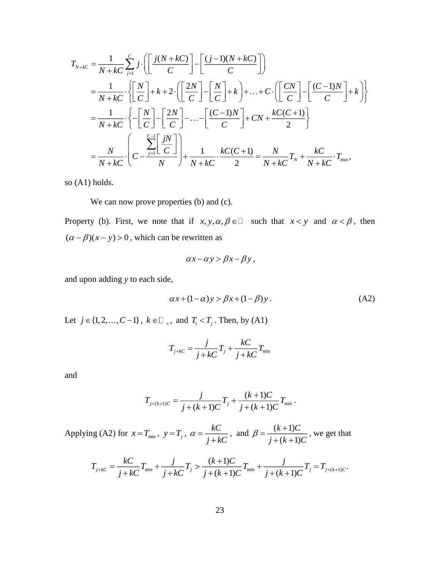$$
T_{N+kc} = \frac{1}{N+kC} \sum_{j=1}^{C} j \cdot \left( \left[ \frac{j(N+kC)}{C} \right] - \left[ \frac{(j-1)(N+kC)}{C} \right] \right)
$$
  
\n
$$
= \frac{1}{N+kC} \cdot \left\{ \left[ \frac{N}{C} \right] + k + 2 \cdot \left( \left[ \frac{2N}{C} \right] - \left[ \frac{N}{C} \right] + k \right] + \dots + C \cdot \left( \left[ \frac{CN}{C} \right] - \left[ \frac{(C-1)N}{C} \right] + k \right) \right\}
$$
  
\n
$$
= \frac{1}{N+kC} \cdot \left\{ - \left[ \frac{N}{C} \right] - \left[ \frac{2N}{C} \right] - \dots - \left[ \frac{(C-1)N}{C} \right] + CN + \frac{kC(C+1)}{2} \right\}
$$
  
\n
$$
= \frac{N}{N+kC} \cdot \left( C - \frac{\sum_{j=1}^{C-1} \left[ \frac{jN}{C} \right]}{N} \right) + \frac{1}{N+kC} \cdot \frac{kC(C+1)}{2} = \frac{N}{N+kC} T_N + \frac{kC}{N+kC} \cdot T_{min},
$$

so (A1) holds.

We can now prove properties (b) and (c).

Property (b). First, we note that if  $x, y, \alpha, \beta \in \Box$  such that  $x < y$  and  $\alpha < \beta$ , then  $(\alpha - \beta)(x - y) > 0$ , which can be rewritten as

$$
\alpha x - \alpha y > \beta x - \beta y,
$$

and upon adding *y* to each side,

$$
\alpha x + (1 - \alpha) y > \beta x + (1 - \beta) y. \tag{A2}
$$

Let  $j \in \{1, 2, ..., C-1\}$ ,  $k \in \square$ , and  $T_i < T_j$ . Then, by (A1)

$$
T_{j+kC} = \frac{j}{j+kC}T_j + \frac{kC}{j+kC}T_{min}
$$

and

$$
T_{j+(k+1)C} = \frac{j}{j+(k+1)C}T_j + \frac{(k+1)C}{j+(k+1)C}T_{min}.
$$

Applying (A2) for  $x = T_{min}$ ,  $y = T_j$ ,  $\alpha = \frac{kC}{kT}$  $\alpha = \frac{}{j+kC}$  $\frac{kC}{+kC}$ , and  $\beta = \frac{(k+1)}{i+(k+1)}$  $(k+1)$  $k + 1$ )C  $j + (k+1)C$  $\beta = \frac{(k+1)C}{i+(k+1)C}$ , we get that

$$
T_{j+kC} = \frac{kC}{j+kC}T_{min} + \frac{j}{j+kC}T_j > \frac{(k+1)C}{j+(k+1)C}T_{min} + \frac{j}{j+(k+1)C}T_j = T_{j+(k+1)C}.
$$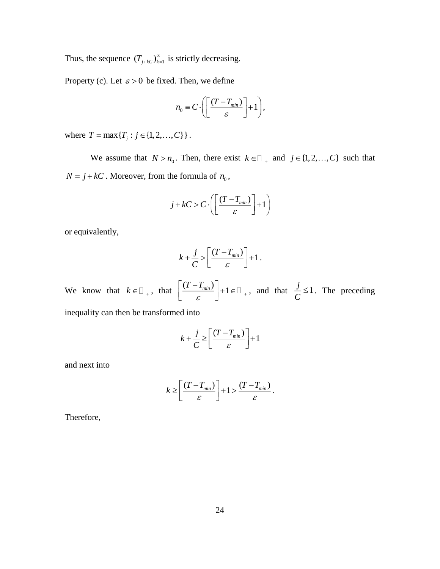Thus, the sequence  $(T_{j+kC})_{k=1}^{\infty}$  is strictly decreasing.

Property (c). Let  $\varepsilon > 0$  be fixed. Then, we define

$$
n_0 \equiv C \cdot \left( \left[ \frac{(T - T_{min})}{\varepsilon} \right] + 1 \right),
$$

where  $T = \max\{T_j : j \in \{1, 2, ..., C\}\}\$ .

We assume that  $N > n_0$ . Then, there exist  $k \in \mathbb{Z}_+$  and  $j \in \{1, 2, ..., C\}$  such that  $N = j + kC$ . Moreover, from the formula of  $n_0$ ,

$$
j + kC > C \cdot \left( \left[ \frac{(T - T_{min})}{\varepsilon} \right] + 1 \right)
$$

or equivalently,

$$
k + \frac{j}{C} > \left[ \frac{(T - T_{min})}{\varepsilon} \right] + 1.
$$

We know that  $k \in \mathbb{Z}_+$ , that  $\left| \frac{(T - T_{min})}{T}\right| + 1$  $\varepsilon$   $|^{12}$   $+$  $\lceil (T-T_{min}) \rceil$  $\left\lfloor \frac{(T - T_{min})}{\varepsilon} \right\rfloor + 1 \in \square_{+}$ , and that  $\frac{j}{C} \leq 1$ *C*  $\leq$ 1. The preceding

inequality can then be transformed into

$$
k + \frac{j}{C} \ge \left[ \frac{(T - T_{min})}{\varepsilon} \right] + 1
$$

and next into

$$
k \geq \left[ \frac{(T - T_{min})}{\varepsilon} \right] + 1 > \frac{(T - T_{min})}{\varepsilon}.
$$

Therefore,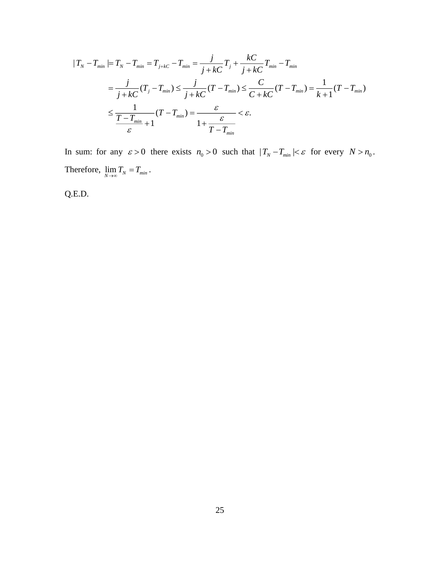$$
|T_{N} - T_{min}| = T_{N} - T_{min} = T_{j+kc} - T_{min} = \frac{j}{j+kc}T_{j} + \frac{kC}{j+kc}T_{min} - T_{min}
$$
  

$$
= \frac{j}{j+kc}(T_{j} - T_{min}) \le \frac{j}{j+kc}(T - T_{min}) \le \frac{C}{C + kC}(T - T_{min}) = \frac{1}{k+1}(T - T_{min})
$$
  

$$
\le \frac{1}{T - T_{min}}(T - T_{min}) = \frac{\varepsilon}{1 + \frac{\varepsilon}{T - T_{min}}} < \varepsilon.
$$

In sum: for any  $\varepsilon > 0$  there exists  $n_0 > 0$  such that  $|T_N - T_{min}| < \varepsilon$  for every  $N > n_0$ . Therefore,  $\lim_{N \to \infty} T_N = T_{min}$ .

Q.E.D.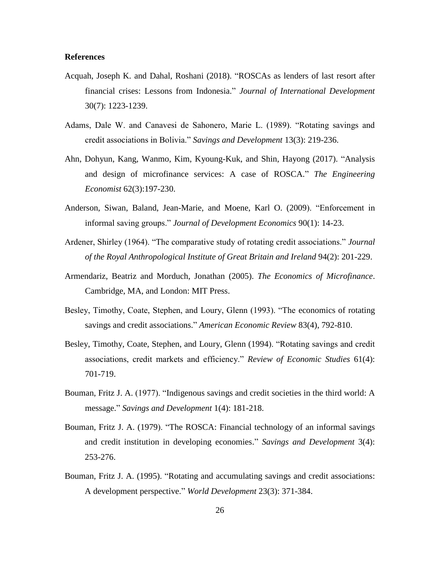# **References**

- Acquah, Joseph K. and Dahal, Roshani (2018). "ROSCAs as lenders of last resort after financial crises: Lessons from Indonesia." *Journal of International Development* 30(7): 1223-1239.
- Adams, Dale W. and Canavesi de Sahonero, Marie L. (1989). "Rotating savings and credit associations in Bolivia." *Savings and Development* 13(3): 219-236.
- Ahn, Dohyun, Kang, Wanmo, Kim, Kyoung-Kuk, and Shin, Hayong (2017). "Analysis and design of microfinance services: A case of ROSCA." *The Engineering Economist* 62(3):197-230.
- Anderson, Siwan, Baland, Jean-Marie, and Moene, Karl O. (2009). "Enforcement in informal saving groups." *Journal of Development Economics* 90(1): 14-23.
- Ardener, Shirley (1964). "The comparative study of rotating credit associations." *Journal of the Royal Anthropological Institute of Great Britain and Ireland* 94(2): 201-229.
- Armendariz, Beatriz and Morduch, Jonathan (2005). *The Economics of Microfinance*. Cambridge, MA, and London: MIT Press.
- Besley, Timothy, Coate, Stephen, and Loury, Glenn (1993). "The economics of rotating savings and credit associations." *American Economic Review* 83(4), 792-810.
- Besley, Timothy, Coate, Stephen, and Loury, Glenn (1994). "Rotating savings and credit associations, credit markets and efficiency." *Review of Economic Studies* 61(4): 701-719.
- Bouman, Fritz J. A. (1977). "Indigenous savings and credit societies in the third world: A message." *Savings and Development* 1(4): 181-218.
- Bouman, Fritz J. A. (1979). "The ROSCA: Financial technology of an informal savings and credit institution in developing economies." *Savings and Development* 3(4): 253-276.
- Bouman, Fritz J. A. (1995). "Rotating and accumulating savings and credit associations: A development perspective." *World Development* 23(3): 371-384.